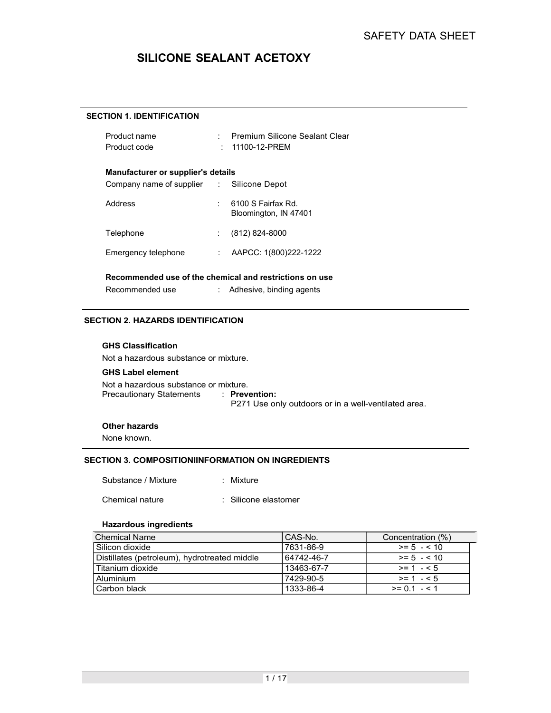# SILICONE SEALANT ACETOXY

#### SECTION 1. IDENTIFICATION

| Product name<br>Product code                                      | : Premium Silicone Sealant Clear<br>: 11100-12-PREM                   |
|-------------------------------------------------------------------|-----------------------------------------------------------------------|
| Manufacturer or supplier's details                                |                                                                       |
| Company name of supplier : Silicone Depot                         |                                                                       |
| Address                                                           | 6100 S Fairfax Rd.<br>Bloomington, IN 47401                           |
| Telephone                                                         | (812) 824-8000                                                        |
| Emergency telephone                                               | : AAPCC: $1(800)222-1222$                                             |
| Recommended use of the chemical and restrictions on use           |                                                                       |
| Recommended use                                                   | : Adhesive, binding agents                                            |
| TION 2. HAZARDS IDENTIFICATION<br><b>GHS Classification</b>       |                                                                       |
| Not a hazardous substance or mixture.                             |                                                                       |
| <b>GHS Label element</b>                                          |                                                                       |
| Not a hazardous substance or mixture.<br>Precautionary Statements | : Prevention:<br>P271 Use only outdoors or in a well-ventilated area. |
| Other hazards                                                     |                                                                       |
| None known.                                                       |                                                                       |
|                                                                   |                                                                       |

#### SECTION 2. HAZARDS IDENTIFICATION

#### GHS Classification

#### GHS Label element

Not a hazardous substance or mixture. P271 Use only outdoors or in a well-ventilated area. Emergency telephone : AAPCC: 1(800)222-1222<br> **Recommended use of the chemical and restrictions on use**<br>
Recommended use : Adhesive, binding agents<br> **TION 2. HAZARDS IDENTIFICATION**<br> **GHS Classification**<br> **GHS Classificatio** 

#### Other hazards

#### SECTION 3. COMPOSITIONIINFORMATION ON INGREDIENTS

#### Hazardous ingredients

| Recommended use of the chemical and restrictions on use                                   |                                                      |                           |
|-------------------------------------------------------------------------------------------|------------------------------------------------------|---------------------------|
| Recommended use                                                                           | Adhesive, binding agents                             |                           |
| ECTION 2. HAZARDS IDENTIFICATION                                                          |                                                      |                           |
| <b>GHS Classification</b>                                                                 |                                                      |                           |
| Not a hazardous substance or mixture.                                                     |                                                      |                           |
| <b>GHS Label element</b>                                                                  |                                                      |                           |
| Not a hazardous substance or mixture.<br><b>Precautionary Statements</b><br>: Prevention: | P271 Use only outdoors or in a well-ventilated area. |                           |
| <b>Other hazards</b>                                                                      |                                                      |                           |
| None known.                                                                               |                                                      |                           |
| ECTION 3. COMPOSITIONIINFORMATION ON INGREDIENTS                                          |                                                      |                           |
|                                                                                           |                                                      |                           |
| Substance / Mixture<br>: Mixture                                                          |                                                      |                           |
| Chemical nature<br>: Silicone elastomer                                                   |                                                      |                           |
| <b>Hazardous ingredients</b>                                                              |                                                      |                           |
| <b>Chemical Name</b>                                                                      | CAS-No.                                              | Concentration (%)         |
| Silicon dioxide                                                                           | 7631-86-9                                            | $>= 5 - 10$               |
| Distillates (petroleum), hydrotreated middle                                              | 64742-46-7                                           | $\overline{5}$ = 5 - < 10 |
| Titanium dioxide                                                                          | 13463-67-7                                           | $\geq$ 1 - < 5            |
|                                                                                           | 7429-90-5                                            | $\overline{>= 1} - 5$     |
| Aluminium                                                                                 | 1333-86-4                                            |                           |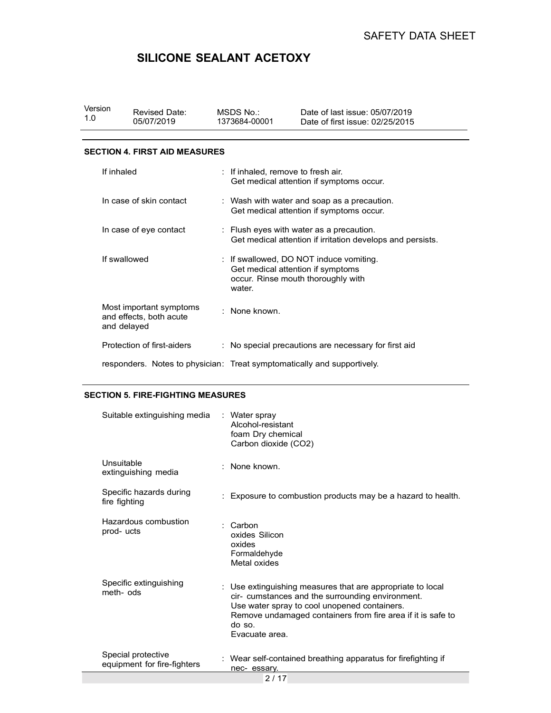# SILICONE SEALANT ACETOXY

| Version<br><b>Revised Date:</b><br>1.0<br>05/07/2019 | MSDS No.:<br>1373684-00001 | Date of last issue: 05/07/2019<br>Date of first issue: 02/25/2015 |
|------------------------------------------------------|----------------------------|-------------------------------------------------------------------|
| <b>OFOTION 4 FIDOT AID MEAQUREQ</b>                  |                            |                                                                   |

#### SECTION 4. FIRST AID MEASURES

|              |                                                                         |                                                                                 | <b>SAFETY DATA SHEET</b>                                                                               |
|--------------|-------------------------------------------------------------------------|---------------------------------------------------------------------------------|--------------------------------------------------------------------------------------------------------|
|              | SILICONE SEALANT ACETOXY                                                |                                                                                 |                                                                                                        |
|              |                                                                         |                                                                                 |                                                                                                        |
| sion         | <b>Revised Date:</b><br>05/07/2019                                      | MSDS No.:<br>1373684-00001                                                      | Date of last issue: 05/07/2019<br>Date of first issue: 02/25/2015                                      |
|              |                                                                         |                                                                                 |                                                                                                        |
|              | <b>CTION 4. FIRST AID MEASURES</b>                                      |                                                                                 |                                                                                                        |
| If inhaled   |                                                                         | : If inhaled, remove to fresh air.                                              | Get medical attention if symptoms occur.                                                               |
|              | In case of skin contact                                                 |                                                                                 | : Wash with water and soap as a precaution.<br>Get medical attention if symptoms occur.                |
|              | In case of eye contact                                                  |                                                                                 | : Flush eyes with water as a precaution.<br>Get medical attention if irritation develops and persists. |
| If swallowed |                                                                         | Get medical attention if symptoms<br>water.                                     | : If swallowed, DO NOT induce vomiting.<br>occur. Rinse mouth thoroughly with                          |
| and delayed  | Most important symptoms<br>and effects, both acute                      | : None known.                                                                   |                                                                                                        |
|              | Protection of first-aiders                                              |                                                                                 | : No special precautions are necessary for first aid                                                   |
|              | responders. Notes to physician: Treat symptomatically and supportively. |                                                                                 |                                                                                                        |
|              | <b>CTION 5. FIRE-FIGHTING MEASURES</b>                                  |                                                                                 |                                                                                                        |
|              | Suitable extinguishing media                                            | : Water spray<br>Alcohol-resistant<br>foam Dry chemical<br>Carbon dioxide (CO2) |                                                                                                        |
| Unsuitable   | extinguishing media                                                     | None known.                                                                     |                                                                                                        |

#### SECTION 5. FIRE-FIGHTING MEASURES

| Suitable extinguishing media                      |    | : Water spray<br>Alcohol-resistant<br>foam Dry chemical<br>Carbon dioxide (CO2)                                                                                                                                                                         |
|---------------------------------------------------|----|---------------------------------------------------------------------------------------------------------------------------------------------------------------------------------------------------------------------------------------------------------|
| Unsuitable<br>extinguishing media                 |    | None known.                                                                                                                                                                                                                                             |
| Specific hazards during<br>fire fighting          |    | Exposure to combustion products may be a hazard to health.                                                                                                                                                                                              |
| Hazardous combustion<br>prod-ucts                 |    | Carbon<br>oxides Silicon<br>oxides<br>Formaldehyde<br>Metal oxides                                                                                                                                                                                      |
| Specific extinguishing<br>meth-ods                | t. | Use extinguishing measures that are appropriate to local<br>cir- cumstances and the surrounding environment.<br>Use water spray to cool unopened containers.<br>Remove undamaged containers from fire area if it is safe to<br>do so.<br>Evacuate area. |
| Special protective<br>equipment for fire-fighters |    | : Wear self-contained breathing apparatus for firefighting if<br>nec-essarv.                                                                                                                                                                            |
|                                                   |    | 2/17                                                                                                                                                                                                                                                    |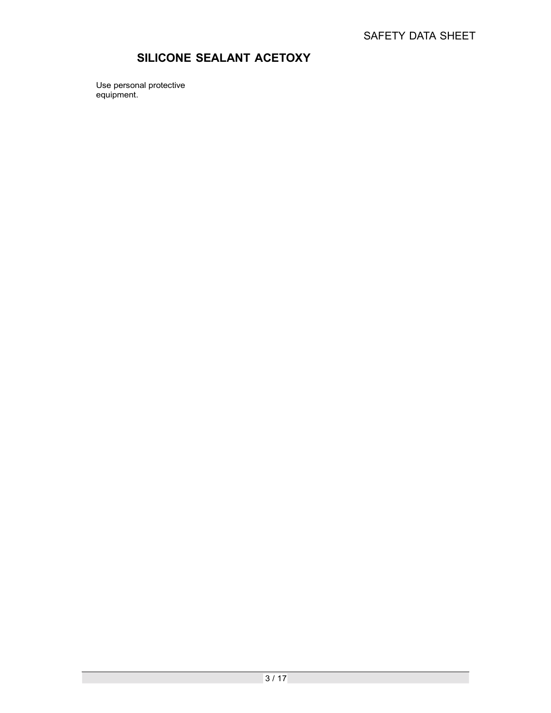# SILICONE SEALANT ACETOXY

Use personal protective equipment.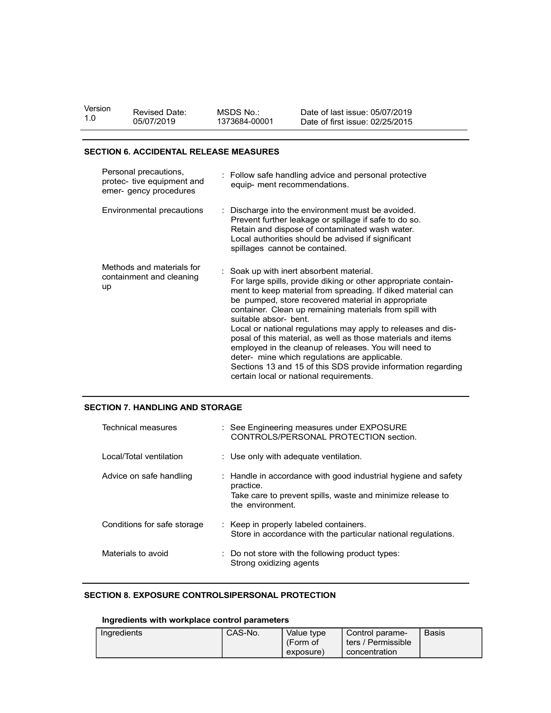| Version | <b>Revised Date:</b> | MSDS No       | Date of last issue: 05/07/2019  |
|---------|----------------------|---------------|---------------------------------|
| 1.0     | 05/07/2019           | 1373684-00001 | Date of first issue: 02/25/2015 |
|         |                      |               |                                 |

#### SECTION 6. ACCIDENTAL RELEASE MEASURES

| sion | <b>Revised Date:</b><br>05/07/2019                                            | MSDS No.:<br>Date of last issue: 05/07/2019<br>1373684-00001<br>Date of first issue: 02/25/2015                                                                                                                                                                                                                                                                                                                                                                                                                                                                                                                                                                        |
|------|-------------------------------------------------------------------------------|------------------------------------------------------------------------------------------------------------------------------------------------------------------------------------------------------------------------------------------------------------------------------------------------------------------------------------------------------------------------------------------------------------------------------------------------------------------------------------------------------------------------------------------------------------------------------------------------------------------------------------------------------------------------|
|      | <b>CTION 6. ACCIDENTAL RELEASE MEASURES</b>                                   |                                                                                                                                                                                                                                                                                                                                                                                                                                                                                                                                                                                                                                                                        |
|      | Personal precautions,<br>protec- tive equipment and<br>emer- gency procedures | Follow safe handling advice and personal protective<br>equip- ment recommendations.                                                                                                                                                                                                                                                                                                                                                                                                                                                                                                                                                                                    |
|      | Environmental precautions                                                     | Discharge into the environment must be avoided.<br>Prevent further leakage or spillage if safe to do so.<br>Retain and dispose of contaminated wash water.<br>Local authorities should be advised if significant<br>spillages cannot be contained.                                                                                                                                                                                                                                                                                                                                                                                                                     |
| up   | Methods and materials for<br>containment and cleaning                         | Soak up with inert absorbent material.<br>For large spills, provide diking or other appropriate contain-<br>ment to keep material from spreading. If diked material can<br>be pumped, store recovered material in appropriate<br>container. Clean up remaining materials from spill with<br>suitable absor- bent.<br>Local or national regulations may apply to releases and dis-<br>posal of this material, as well as those materials and items<br>employed in the cleanup of releases. You will need to<br>deter- mine which regulations are applicable.<br>Sections 13 and 15 of this SDS provide information regarding<br>certain local or national requirements. |
|      | <b>CTION 7. HANDLING AND STORAGE</b>                                          |                                                                                                                                                                                                                                                                                                                                                                                                                                                                                                                                                                                                                                                                        |
|      | <b>Technical measures</b>                                                     | : See Engineering measures under EXPOSURE<br>CONTROLS/PERSONAL PROTECTION section.                                                                                                                                                                                                                                                                                                                                                                                                                                                                                                                                                                                     |
|      | Local/Total ventilation                                                       | : Use only with adequate ventilation.                                                                                                                                                                                                                                                                                                                                                                                                                                                                                                                                                                                                                                  |
|      | Advice on safe handling                                                       | : Handle in accordance with good industrial hygiene and safety<br>practice.<br>Take care to prevent spills, waste and minimize release to<br>the environment.                                                                                                                                                                                                                                                                                                                                                                                                                                                                                                          |
|      | Conditions for safe storage                                                   | Keep in properly labeled containers.<br>Store in accordance with the particular pational requlations                                                                                                                                                                                                                                                                                                                                                                                                                                                                                                                                                                   |

#### SECTION 7. HANDLING AND STORAGE

|                                                                                                 | suitable absor- bent.                                                                                                                                         | certain local or national requirements. | ment to keep material from spreading. If diked material can<br>be pumped, store recovered material in appropriate<br>container. Clean up remaining materials from spill with<br>Local or national regulations may apply to releases and dis-<br>posal of this material, as well as those materials and items<br>employed in the cleanup of releases. You will need to<br>deter- mine which regulations are applicable.<br>Sections 13 and 15 of this SDS provide information regarding |       |  |  |  |
|-------------------------------------------------------------------------------------------------|---------------------------------------------------------------------------------------------------------------------------------------------------------------|-----------------------------------------|----------------------------------------------------------------------------------------------------------------------------------------------------------------------------------------------------------------------------------------------------------------------------------------------------------------------------------------------------------------------------------------------------------------------------------------------------------------------------------------|-------|--|--|--|
| CTION 7. HANDLING AND STORAGE                                                                   |                                                                                                                                                               |                                         |                                                                                                                                                                                                                                                                                                                                                                                                                                                                                        |       |  |  |  |
| Technical measures                                                                              | : See Engineering measures under EXPOSURE<br>CONTROLS/PERSONAL PROTECTION section.                                                                            |                                         |                                                                                                                                                                                                                                                                                                                                                                                                                                                                                        |       |  |  |  |
| Local/Total ventilation                                                                         | : Use only with adequate ventilation.                                                                                                                         |                                         |                                                                                                                                                                                                                                                                                                                                                                                                                                                                                        |       |  |  |  |
| Advice on safe handling                                                                         | : Handle in accordance with good industrial hygiene and safety<br>practice.<br>Take care to prevent spills, waste and minimize release to<br>the environment. |                                         |                                                                                                                                                                                                                                                                                                                                                                                                                                                                                        |       |  |  |  |
| Conditions for safe storage                                                                     |                                                                                                                                                               | Keep in properly labeled containers.    | Store in accordance with the particular national regulations.                                                                                                                                                                                                                                                                                                                                                                                                                          |       |  |  |  |
| Materials to avoid                                                                              |                                                                                                                                                               | Strong oxidizing agents                 | Do not store with the following product types:                                                                                                                                                                                                                                                                                                                                                                                                                                         |       |  |  |  |
| CTION 8. EXPOSURE CONTROLSIPERSONAL PROTECTION<br>Ingredients with workplace control parameters |                                                                                                                                                               |                                         |                                                                                                                                                                                                                                                                                                                                                                                                                                                                                        |       |  |  |  |
| Ingredients                                                                                     | CAS-No.                                                                                                                                                       | Value type<br>(Form of<br>exposure)     | Control parame-<br>ters / Permissible<br>concentration                                                                                                                                                                                                                                                                                                                                                                                                                                 | Basis |  |  |  |

#### SECTION 8. EXPOSURE CONTROLSIPERSONAL PROTECTION

## Ingredients with workplace control parameters

| Ingredients | CAS-No. | Value type<br>(Form of | ್ಲ <b>ontrol</b> parame-<br>/ Permissible<br>ters / | <b>Basis</b> |
|-------------|---------|------------------------|-----------------------------------------------------|--------------|
|             |         | exposure)              | concentration                                       |              |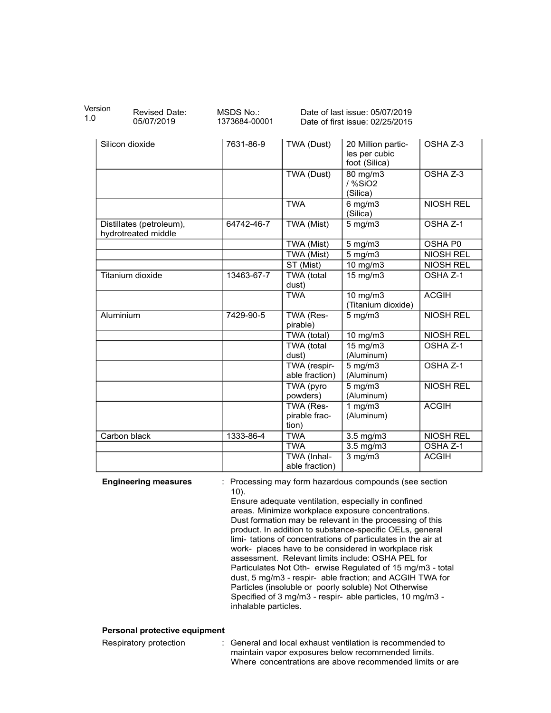| Version<br><b>Revised Date:</b><br>1.0<br>05/07/2019 | MSDS No.:<br>1373684-00001 |                                | Date of last issue: 05/07/2019<br>Date of first issue: 02/25/2015                                                                                                                                                                                                                                                                                                                                                          |                                      |
|------------------------------------------------------|----------------------------|--------------------------------|----------------------------------------------------------------------------------------------------------------------------------------------------------------------------------------------------------------------------------------------------------------------------------------------------------------------------------------------------------------------------------------------------------------------------|--------------------------------------|
| Silicon dioxide                                      | 7631-86-9                  | TWA (Dust)                     | 20 Million partic-<br>les per cubic<br>foot (Silica)                                                                                                                                                                                                                                                                                                                                                                       | OSHA Z-3                             |
|                                                      |                            | TWA (Dust)                     | 80 mg/m3<br>/ %SiO2<br>(Silica)                                                                                                                                                                                                                                                                                                                                                                                            | OSHA Z-3                             |
|                                                      |                            | <b>TWA</b>                     | $6$ mg/m $3$                                                                                                                                                                                                                                                                                                                                                                                                               | <b>NIOSH REL</b>                     |
| Distillates (petroleum),<br>hydrotreated middle      | 64742-46-7                 | TWA (Mist)                     | (Silica)<br>$5$ mg/m $3$                                                                                                                                                                                                                                                                                                                                                                                                   | OSHA Z-1                             |
|                                                      |                            | TWA (Mist)                     | $5$ mg/m $3$                                                                                                                                                                                                                                                                                                                                                                                                               | OSHA P0                              |
|                                                      |                            | TWA (Mist)<br>ST (Mist)        | 5 mg/m3                                                                                                                                                                                                                                                                                                                                                                                                                    | <b>NIOSH REL</b><br><b>NIOSH REL</b> |
| Titanium dioxide                                     | 13463-67-7                 | TWA (total<br>dust)            | 10 mg/m3<br>$15 \text{ mg/m}$                                                                                                                                                                                                                                                                                                                                                                                              | OSHA Z-1                             |
|                                                      |                            | <b>TWA</b>                     | 10 mg/m3<br>(Titanium dioxide)                                                                                                                                                                                                                                                                                                                                                                                             | <b>ACGIH</b>                         |
| Aluminium                                            | 7429-90-5                  | TWA (Res-<br>pirable)          | $5$ mg/m $3$                                                                                                                                                                                                                                                                                                                                                                                                               | <b>NIOSH REL</b>                     |
|                                                      |                            | TWA (total)                    | 10 mg/m3                                                                                                                                                                                                                                                                                                                                                                                                                   | <b>NIOSH REL</b>                     |
|                                                      |                            | TWA (total<br>dust)            | 15 mg/m3<br>(Aluminum)                                                                                                                                                                                                                                                                                                                                                                                                     | OSHA Z-1                             |
|                                                      |                            | TWA (respir-<br>able fraction) | $5 \text{ mg/m}$<br>(Aluminum)                                                                                                                                                                                                                                                                                                                                                                                             | OSHA Z-1                             |
|                                                      |                            | TWA (pyro<br>powders)          | $5$ mg/m $3$<br>(Aluminum)                                                                                                                                                                                                                                                                                                                                                                                                 | <b>NIOSH REL</b>                     |
|                                                      |                            | TWA (Res-<br>pirable frac-     | 1 mg/m $3$<br>(Aluminum)                                                                                                                                                                                                                                                                                                                                                                                                   | <b>ACGIH</b>                         |
| Carbon black                                         | 1333-86-4                  | tion)<br><b>TWA</b>            | $3.5 \text{ mg/m}$                                                                                                                                                                                                                                                                                                                                                                                                         | <b>NIOSH REL</b>                     |
|                                                      |                            | <b>TWA</b>                     | $3.5 \text{ mg/m}$ 3                                                                                                                                                                                                                                                                                                                                                                                                       | OSHA Z-1                             |
|                                                      |                            | TWA (Inhal-<br>able fraction)  | $\frac{3}{3}$ mg/m3                                                                                                                                                                                                                                                                                                                                                                                                        | <b>ACGIH</b>                         |
| <b>Engineering measures</b>                          | $10$ ).                    |                                | Processing may form hazardous compounds (see section<br>Ensure adequate ventilation, especially in confined<br>areas. Minimize workplace exposure concentrations.<br>Dust formation may be relevant in the processing of this<br>product. In addition to substance-specific OELs, general                                                                                                                                  |                                      |
|                                                      | inhalable particles.       |                                | limi- tations of concentrations of particulates in the air at<br>work- places have to be considered in workplace risk<br>assessment. Relevant limits include: OSHA PEL for<br>Particulates Not Oth- erwise Regulated of 15 mg/m3 - total<br>dust, 5 mg/m3 - respir- able fraction; and ACGIH TWA for<br>Particles (insoluble or poorly soluble) Not Otherwise<br>Specified of 3 mg/m3 - respir- able particles, 10 mg/m3 - |                                      |
| Personal protective equipment                        |                            |                                |                                                                                                                                                                                                                                                                                                                                                                                                                            |                                      |
| Respiratory protection                               |                            |                                | General and local exhaust ventilation is recommended to<br>maintain vapor exposures below recommended limits.                                                                                                                                                                                                                                                                                                              |                                      |

#### Personal protective equipment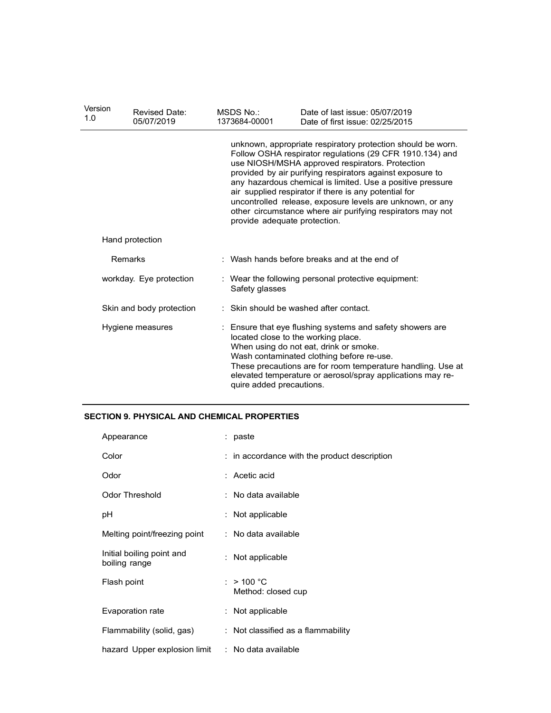| Version<br>1.0          | <b>Revised Date:</b><br>05/07/2019                 | MSDS No.:<br>1373684-00001                                            | Date of last issue: 05/07/2019<br>Date of first issue: 02/25/2015                                                                                                                                                                                                                                                                                                                                                                                                                                                         |  |  |  |  |
|-------------------------|----------------------------------------------------|-----------------------------------------------------------------------|---------------------------------------------------------------------------------------------------------------------------------------------------------------------------------------------------------------------------------------------------------------------------------------------------------------------------------------------------------------------------------------------------------------------------------------------------------------------------------------------------------------------------|--|--|--|--|
|                         |                                                    |                                                                       | unknown, appropriate respiratory protection should be worn.<br>Follow OSHA respirator regulations (29 CFR 1910.134) and<br>use NIOSH/MSHA approved respirators. Protection<br>provided by air purifying respirators against exposure to<br>any hazardous chemical is limited. Use a positive pressure<br>air supplied respirator if there is any potential for<br>uncontrolled release, exposure levels are unknown, or any<br>other circumstance where air purifying respirators may not<br>provide adequate protection. |  |  |  |  |
| Hand protection         |                                                    |                                                                       |                                                                                                                                                                                                                                                                                                                                                                                                                                                                                                                           |  |  |  |  |
| Remarks                 |                                                    |                                                                       | : Wash hands before breaks and at the end of                                                                                                                                                                                                                                                                                                                                                                                                                                                                              |  |  |  |  |
| workday. Eye protection |                                                    | : Wear the following personal protective equipment:<br>Safety glasses |                                                                                                                                                                                                                                                                                                                                                                                                                                                                                                                           |  |  |  |  |
|                         | Skin and body protection                           |                                                                       | : Skin should be washed after contact.                                                                                                                                                                                                                                                                                                                                                                                                                                                                                    |  |  |  |  |
| Hygiene measures        |                                                    | quire added precautions.                                              | Ensure that eye flushing systems and safety showers are<br>located close to the working place.<br>When using do not eat, drink or smoke.<br>Wash contaminated clothing before re-use.<br>These precautions are for room temperature handling. Use at<br>elevated temperature or aerosol/spray applications may re-                                                                                                                                                                                                        |  |  |  |  |
|                         | <b>SECTION 9. PHYSICAL AND CHEMICAL PROPERTIES</b> |                                                                       |                                                                                                                                                                                                                                                                                                                                                                                                                                                                                                                           |  |  |  |  |
| Appearance              |                                                    | : paste                                                               |                                                                                                                                                                                                                                                                                                                                                                                                                                                                                                                           |  |  |  |  |
| Color                   |                                                    |                                                                       | : in accordance with the product description                                                                                                                                                                                                                                                                                                                                                                                                                                                                              |  |  |  |  |
| Odor                    |                                                    | : Acetic acid                                                         |                                                                                                                                                                                                                                                                                                                                                                                                                                                                                                                           |  |  |  |  |
| Odor Threshold          |                                                    | : No data available                                                   |                                                                                                                                                                                                                                                                                                                                                                                                                                                                                                                           |  |  |  |  |
| pH                      |                                                    | : Not applicable                                                      |                                                                                                                                                                                                                                                                                                                                                                                                                                                                                                                           |  |  |  |  |
|                         | Melting point/freezing point                       | : No data available                                                   |                                                                                                                                                                                                                                                                                                                                                                                                                                                                                                                           |  |  |  |  |
| boiling range           | Initial boiling point and                          | : Not applicable                                                      |                                                                                                                                                                                                                                                                                                                                                                                                                                                                                                                           |  |  |  |  |

## SECTION 9. PHYSICAL AND CHEMICAL PROPERTIES

| Hygiene measures                                 | : Ensure that eye flushing systems and safety showers are<br>located close to the working place.<br>When using do not eat, drink or smoke.                                                         |
|--------------------------------------------------|----------------------------------------------------------------------------------------------------------------------------------------------------------------------------------------------------|
|                                                  | Wash contaminated clothing before re-use.<br>These precautions are for room temperature handling. Use at<br>elevated temperature or aerosol/spray applications may re-<br>quire added precautions. |
| <b>CTION 9. PHYSICAL AND CHEMICAL PROPERTIES</b> |                                                                                                                                                                                                    |
| Appearance                                       | : paste                                                                                                                                                                                            |
| Color                                            | in accordance with the product description                                                                                                                                                         |
| Odor                                             | : Acetic acid                                                                                                                                                                                      |
| <b>Odor Threshold</b>                            | : No data available                                                                                                                                                                                |
| рH                                               | : Not applicable                                                                                                                                                                                   |
| Melting point/freezing point                     | : No data available                                                                                                                                                                                |
| Initial boiling point and<br>boiling range       | Not applicable                                                                                                                                                                                     |
| Flash point                                      | >100 °C<br>Method: closed cup                                                                                                                                                                      |
| Evaporation rate                                 | : Not applicable                                                                                                                                                                                   |
| Flammability (solid, gas)                        | : Not classified as a flammability                                                                                                                                                                 |
| hazard Upper explosion limit                     | : No data available                                                                                                                                                                                |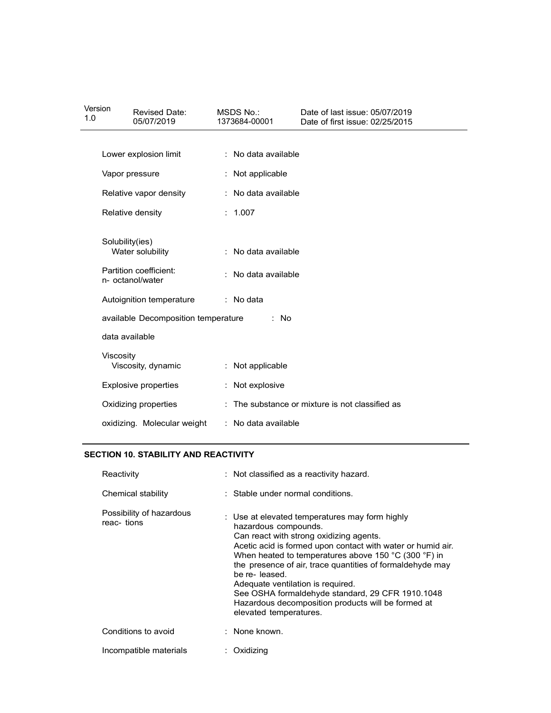| Version<br>1.0                      | Revised Date:<br>05/07/2019                                                       |                  | MSDS No.:<br>1373684-00001                      | Date of last issue: 05/07/2019<br>Date of first issue: 02/25/2015                                                                                        |  |
|-------------------------------------|-----------------------------------------------------------------------------------|------------------|-------------------------------------------------|----------------------------------------------------------------------------------------------------------------------------------------------------------|--|
|                                     | Lower explosion limit                                                             |                  | : No data available                             |                                                                                                                                                          |  |
|                                     | Vapor pressure                                                                    | : Not applicable |                                                 |                                                                                                                                                          |  |
|                                     | Relative vapor density                                                            |                  | : No data available                             |                                                                                                                                                          |  |
|                                     | Relative density                                                                  |                  | : 1.007                                         |                                                                                                                                                          |  |
|                                     | Solubility(ies)<br>Water solubility<br>Partition coefficient:<br>n- octanol/water |                  | : No data available                             |                                                                                                                                                          |  |
|                                     |                                                                                   |                  | : No data available                             |                                                                                                                                                          |  |
| Autoignition temperature            |                                                                                   |                  | : No data                                       |                                                                                                                                                          |  |
| available Decomposition temperature |                                                                                   |                  | No<br>÷                                         |                                                                                                                                                          |  |
|                                     | data available                                                                    |                  |                                                 |                                                                                                                                                          |  |
|                                     | Viscosity<br>Viscosity, dynamic                                                   |                  | : Not applicable                                |                                                                                                                                                          |  |
|                                     | <b>Explosive properties</b>                                                       |                  | : Not explosive                                 |                                                                                                                                                          |  |
|                                     | Oxidizing properties                                                              |                  | : The substance or mixture is not classified as |                                                                                                                                                          |  |
|                                     | oxidizing. Molecular weight                                                       |                  | : No data available                             |                                                                                                                                                          |  |
|                                     | <b>SECTION 10. STABILITY AND REACTIVITY</b>                                       |                  |                                                 |                                                                                                                                                          |  |
|                                     | Reactivity                                                                        |                  |                                                 | : Not classified as a reactivity hazard.                                                                                                                 |  |
|                                     | Chemical stability                                                                |                  | : Stable under normal conditions.               |                                                                                                                                                          |  |
|                                     | Possibility of hazardous<br>reac-tions                                            |                  | hazardous compounds.                            | : Use at elevated temperatures may form highly<br>Can react with strong oxidizing agents.<br>Acetic acid is formed upon contact with water or humid air. |  |

#### SECTION 10. STABILITY AND REACTIVITY

| Oxidizing properties                   | : The substance or mixture is not classified as                                                                                                                                                                                                                                                                                                                                                                                                                                               |
|----------------------------------------|-----------------------------------------------------------------------------------------------------------------------------------------------------------------------------------------------------------------------------------------------------------------------------------------------------------------------------------------------------------------------------------------------------------------------------------------------------------------------------------------------|
| oxidizing. Molecular weight            | : No data available                                                                                                                                                                                                                                                                                                                                                                                                                                                                           |
| TION 10. STABILITY AND REACTIVITY:     |                                                                                                                                                                                                                                                                                                                                                                                                                                                                                               |
| Reactivity                             | : Not classified as a reactivity hazard.                                                                                                                                                                                                                                                                                                                                                                                                                                                      |
| Chemical stability                     | : Stable under normal conditions.                                                                                                                                                                                                                                                                                                                                                                                                                                                             |
| Possibility of hazardous<br>reac-tions | Use at elevated temperatures may form highly<br>hazardous compounds.<br>Can react with strong oxidizing agents.<br>Acetic acid is formed upon contact with water or humid air.<br>When heated to temperatures above 150 °C (300 °F) in<br>the presence of air, trace quantities of formaldehyde may<br>be re-leased.<br>Adequate ventilation is required.<br>See OSHA formaldehyde standard, 29 CFR 1910.1048<br>Hazardous decomposition products will be formed at<br>elevated temperatures. |
| Conditions to avoid                    | : None known.                                                                                                                                                                                                                                                                                                                                                                                                                                                                                 |
| Incompatible materials                 | : Oxidizing                                                                                                                                                                                                                                                                                                                                                                                                                                                                                   |
|                                        |                                                                                                                                                                                                                                                                                                                                                                                                                                                                                               |
|                                        |                                                                                                                                                                                                                                                                                                                                                                                                                                                                                               |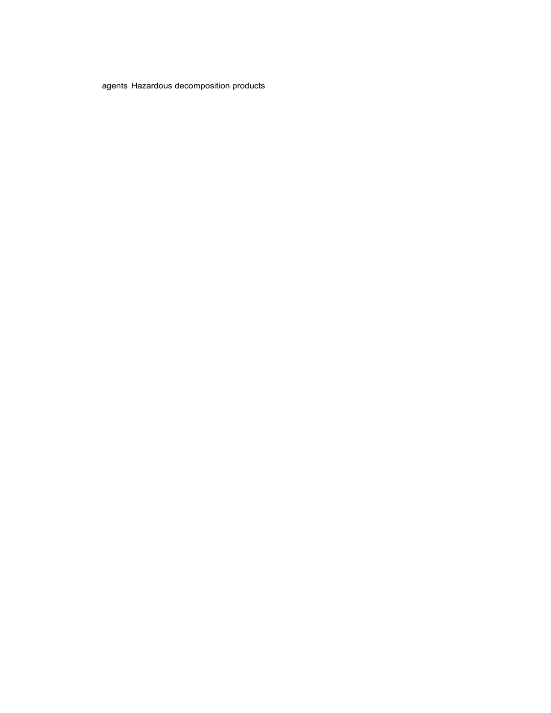agents Hazardous decomposition products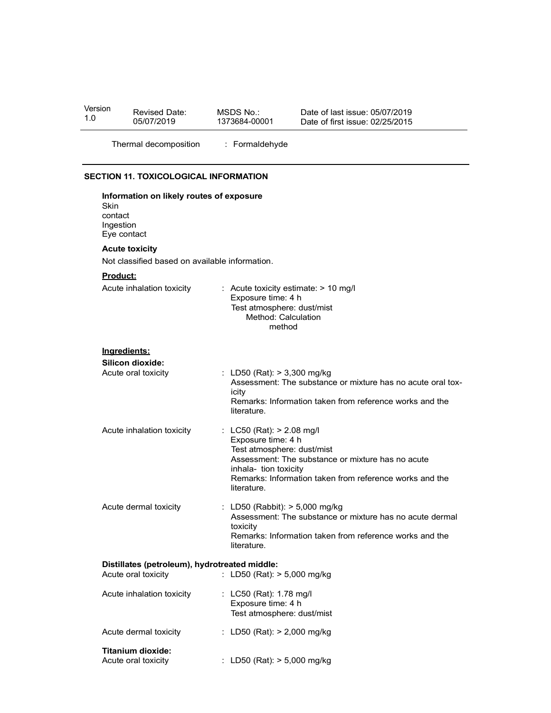| Version<br>Revised Date:<br>05/07/2019                               | MSDS No.:<br>Date of last issue: 05/07/2019<br>1373684-00001<br>Date of first issue: 02/25/2015                           |
|----------------------------------------------------------------------|---------------------------------------------------------------------------------------------------------------------------|
| Thermal decomposition                                                | : Formaldehyde                                                                                                            |
| SECTION 11. TOXICOLOGICAL INFORMATION                                |                                                                                                                           |
| Information on likely routes of exposure                             |                                                                                                                           |
| Skin<br>contact<br>Ingestion<br>Eye contact                          |                                                                                                                           |
| <b>Acute toxicity</b>                                                |                                                                                                                           |
| Not classified based on available information.<br>Product:           |                                                                                                                           |
| Acute inhalation toxicity                                            | : Acute toxicity estimate: > 10 mg/l<br>Exposure time: 4 h<br>Test atmosphere: dust/mist<br>Method: Calculation<br>method |
| Ingredients:                                                         |                                                                                                                           |
| Silicon dioxide:<br>Acute oral toxicity                              | : LD50 (Rat): > 3,300 mg/kg                                                                                               |
|                                                                      | Assessment: The substance or mixture has no acute oral tox-<br>icity                                                      |
|                                                                      | Remarks: Information taken from reference works and the<br>literature.                                                    |
| Acute inhalation toxicity                                            | : LC50 (Rat): > 2.08 mg/l<br>Exposure time: 4 h                                                                           |
|                                                                      | Test atmosphere: dust/mist<br>Assessment: The substance or mixture has no acute                                           |
|                                                                      | inhala- tion toxicity<br>Remarks: Information taken from reference works and the                                          |
|                                                                      | literature.                                                                                                               |
| Acute dermal toxicity                                                | : LD50 (Rabbit): > 5,000 mg/kg<br>Assessment: The substance or mixture has no acute dermal                                |
|                                                                      | toxicity<br>Remarks: Information taken from reference works and the<br>literature.                                        |
| Distillates (petroleum), hydrotreated middle:<br>Acute oral toxicity | : LD50 (Rat): > 5,000 mg/kg                                                                                               |
| Acute inhalation toxicity                                            | : LC50 (Rat): 1.78 mg/l                                                                                                   |
|                                                                      | Exposure time: 4 h<br>Test atmosphere: dust/mist                                                                          |
| Acute dermal toxicity                                                | : LD50 (Rat): > 2,000 mg/kg                                                                                               |
| <b>Titanium dioxide:</b>                                             |                                                                                                                           |

| Acute innalation toxicity                | $\therefore$ LG50 (Rat): 1.78 mg/l<br>Exposure time: 4 h<br>Test atmosphere: dust/mist |
|------------------------------------------|----------------------------------------------------------------------------------------|
| Acute dermal toxicity                    | : LD50 (Rat): $> 2,000$ mg/kg                                                          |
| Titanium dioxide:<br>Acute oral toxicity | : LD50 (Rat): $> 5,000$ mg/kg                                                          |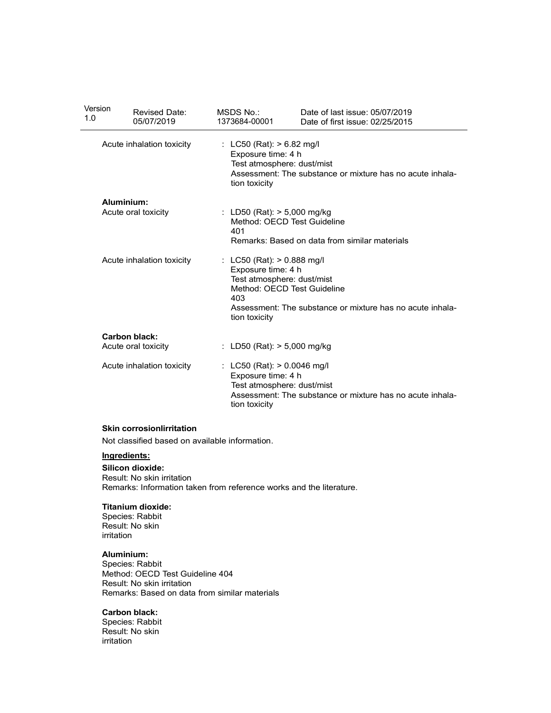| Version<br>1.0 | <b>Revised Date:</b><br>05/07/2019          | MSDS No.:<br>1373684-00001                                                                                                            | Date of last issue: 05/07/2019<br>Date of first issue: 02/25/2015 |
|----------------|---------------------------------------------|---------------------------------------------------------------------------------------------------------------------------------------|-------------------------------------------------------------------|
|                | Acute inhalation toxicity                   | : LC50 (Rat): > 6.82 mg/l<br>Exposure time: 4 h<br>Test atmosphere: dust/mist<br>tion toxicity                                        | Assessment: The substance or mixture has no acute inhala-         |
|                | Aluminium:<br>Acute oral toxicity           | : LD50 (Rat): > 5,000 mg/kg<br>Method: OECD Test Guideline<br>401                                                                     | Remarks: Based on data from similar materials                     |
|                | Acute inhalation toxicity                   | : LC50 (Rat): > 0.888 mg/l<br>Exposure time: 4 h<br>Test atmosphere: dust/mist<br>Method: OECD Test Guideline<br>403<br>tion toxicity | Assessment: The substance or mixture has no acute inhala-         |
|                | <b>Carbon black:</b><br>Acute oral toxicity | : LD50 (Rat): > 5,000 mg/kg                                                                                                           |                                                                   |
|                | Acute inhalation toxicity                   | : LC50 (Rat): > 0.0046 mg/l<br>Exposure time: 4 h<br>Test atmosphere: dust/mist<br>tion toxicity                                      | Assessment: The substance or mixture has no acute inhala-         |
|                |                                             |                                                                                                                                       |                                                                   |

#### Skin corrosionlirritation

Not classified based on available information.

#### Ingredients:

 $\overline{\phantom{0}}$ 

Silicon dioxide: Result: No skin irritation Remarks: Information taken from reference works and the literature.

#### Titanium dioxide:

Species: Rabbit Result: No skin irritation

#### Aluminium:

Species: Rabbit Method: OECD Test Guideline 404 Result: No skin irritation Remarks: Based on data from similar materials

#### Carbon black:

Species: Rabbit Result: No skin irritation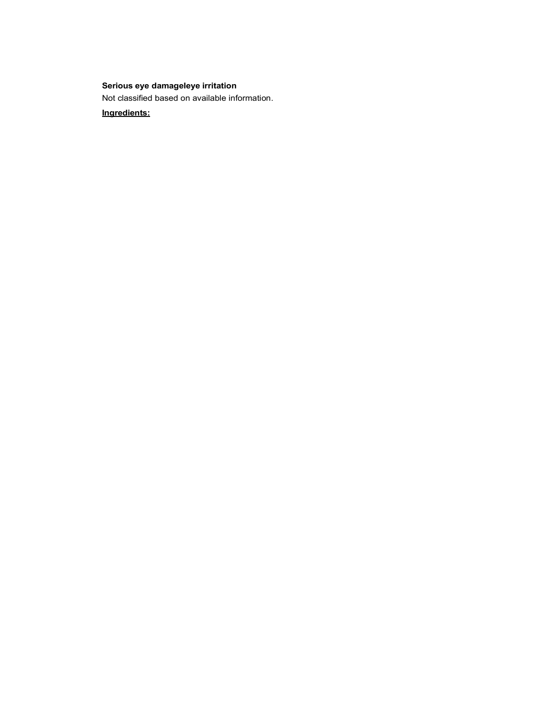## Serious eye damageleye irritation

Not classified based on available information.

Ingredients: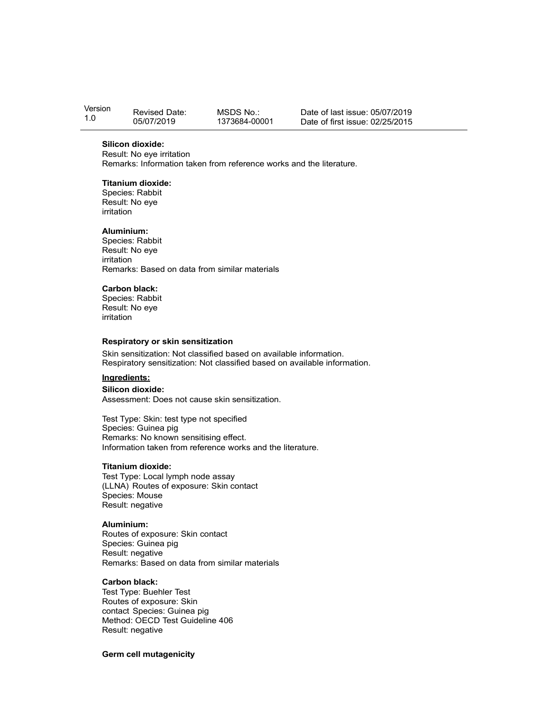| Version | Revised Date: | MSDS No.:     | Date of last issue: 05/07/2019  |
|---------|---------------|---------------|---------------------------------|
| 1.0     | 05/07/2019    | 1373684-00001 | Date of first issue: 02/25/2015 |

#### Silicon dioxide:

Result: No eye irritation Remarks: Information taken from reference works and the literature.

#### Titanium dioxide:

Species: Rabbit Result: No eye irritation

#### Aluminium:

Species: Rabbit Result: No eye irritation Remarks: Based on data from similar materials

#### Carbon black:

Species: Rabbit Result: No eye irritation

#### Respiratory or skin sensitization

Skin sensitization: Not classified based on available information. Respiratory sensitization: Not classified based on available information.

#### Ingredients:

Silicon dioxide:

Assessment: Does not cause skin sensitization.

Test Type: Skin: test type not specified Species: Guinea pig Remarks: No known sensitising effect. Information taken from reference works and the literature.

#### Titanium dioxide:

Test Type: Local lymph node assay (LLNA) Routes of exposure: Skin contact Species: Mouse Result: negative

#### Aluminium:

Routes of exposure: Skin contact Species: Guinea pig Result: negative Remarks: Based on data from similar materials

#### Carbon black:

Test Type: Buehler Test Routes of exposure: Skin contact Species: Guinea pig Method: OECD Test Guideline 406 Result: negative

#### Germ cell mutagenicity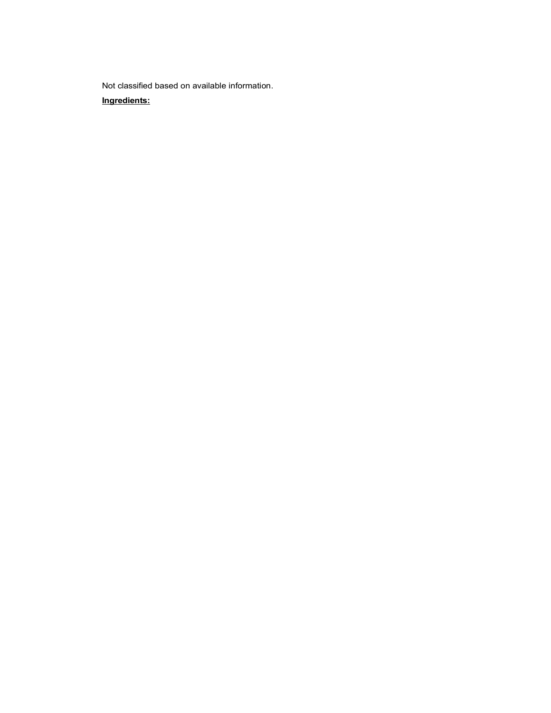Not classified based on available information.

#### Ingredients: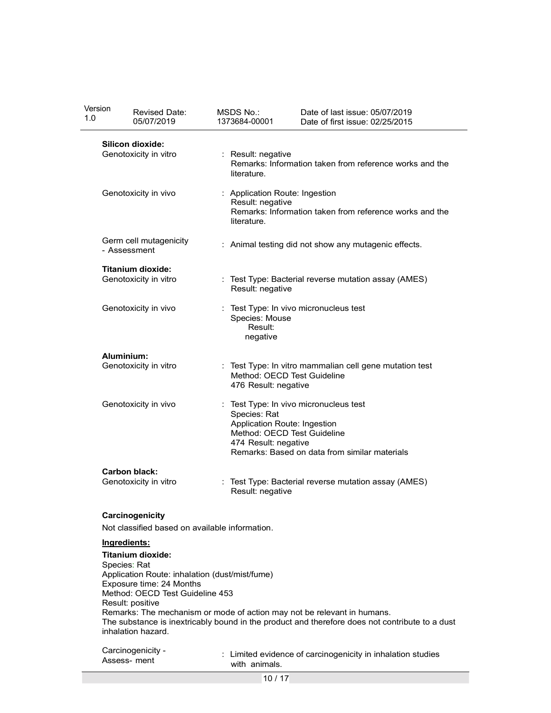| Version<br>1.0 | Revised Date:<br>05/07/2019                                    | MSDS No.:<br>1373684-00001                         | Date of last issue: 05/07/2019<br>Date of first issue: 02/25/2015                                                                                                         |
|----------------|----------------------------------------------------------------|----------------------------------------------------|---------------------------------------------------------------------------------------------------------------------------------------------------------------------------|
|                | Silicon dioxide:                                               |                                                    |                                                                                                                                                                           |
|                | Genotoxicity in vitro                                          | Result: negative<br>÷<br>literature.               | Remarks: Information taken from reference works and the                                                                                                                   |
|                | Genotoxicity in vivo                                           | : Application Route: Ingestion<br>Result: negative |                                                                                                                                                                           |
|                |                                                                | literature.                                        | Remarks: Information taken from reference works and the                                                                                                                   |
|                | Germ cell mutagenicity<br>- Assessment                         |                                                    | Animal testing did not show any mutagenic effects.                                                                                                                        |
|                | <b>Titanium dioxide:</b><br>Genotoxicity in vitro              |                                                    | : Test Type: Bacterial reverse mutation assay (AMES)                                                                                                                      |
|                | Genotoxicity in vivo                                           | Result: negative                                   | Test Type: In vivo micronucleus test                                                                                                                                      |
|                |                                                                | Species: Mouse<br>Result:<br>negative              |                                                                                                                                                                           |
|                | Aluminium:<br>Genotoxicity in vitro                            |                                                    | : Test Type: In vitro mammalian cell gene mutation test                                                                                                                   |
|                |                                                                | 476 Result: negative                               | Method: OECD Test Guideline                                                                                                                                               |
|                | Genotoxicity in vivo                                           | Species: Rat                                       | : Test Type: In vivo micronucleus test                                                                                                                                    |
|                |                                                                | Application Route: Ingestion                       | Method: OECD Test Guideline                                                                                                                                               |
|                |                                                                | 474 Result: negative                               | Remarks: Based on data from similar materials                                                                                                                             |
|                | <b>Carbon black:</b><br>Genotoxicity in vitro                  |                                                    | : Test Type: Bacterial reverse mutation assay (AMES)                                                                                                                      |
|                |                                                                | Result: negative                                   |                                                                                                                                                                           |
|                | Carcinogenicity                                                |                                                    |                                                                                                                                                                           |
|                | Not classified based on available information.<br>Ingredients: |                                                    |                                                                                                                                                                           |
|                | <b>Titanium dioxide:</b>                                       |                                                    |                                                                                                                                                                           |
|                | Species: Rat<br>Application Route: inhalation (dust/mist/fume) |                                                    |                                                                                                                                                                           |
|                | Exposure time: 24 Months                                       |                                                    |                                                                                                                                                                           |
|                | Method: OECD Test Guideline 453<br>Result: positive            |                                                    |                                                                                                                                                                           |
|                | inhalation hazard.                                             |                                                    | Remarks: The mechanism or mode of action may not be relevant in humans.<br>The substance is inextricably bound in the product and therefore does not contribute to a dust |
|                | Carcinogenicity -<br>Assess- ment                              | with animals.                                      | : Limited evidence of carcinogenicity in inhalation studies                                                                                                               |

10 / 17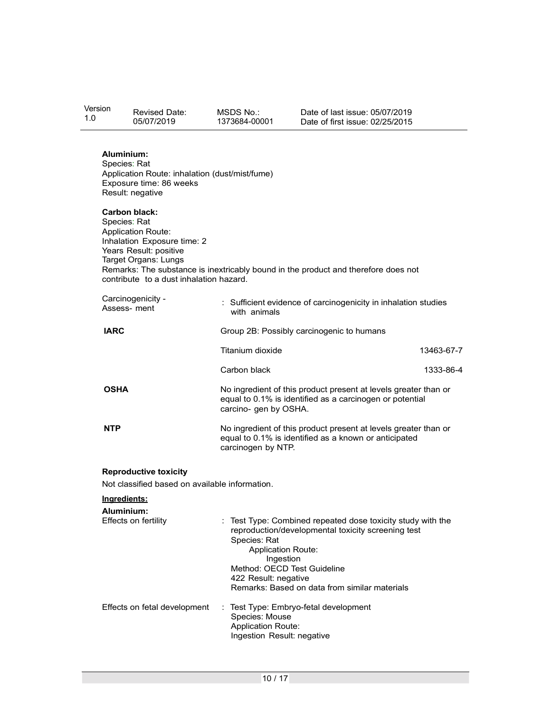| Version<br>1.0 | <b>Revised Date:</b><br>05/07/2019                                                                                                                                                            | MSDS No.:<br>1373684-00001                                                     | Date of last issue: 05/07/2019<br>Date of first issue: 02/25/2015                                                                                                                                 |            |  |
|----------------|-----------------------------------------------------------------------------------------------------------------------------------------------------------------------------------------------|--------------------------------------------------------------------------------|---------------------------------------------------------------------------------------------------------------------------------------------------------------------------------------------------|------------|--|
|                | Aluminium:<br>Species: Rat<br>Application Route: inhalation (dust/mist/fume)<br>Exposure time: 86 weeks<br>Result: negative                                                                   |                                                                                |                                                                                                                                                                                                   |            |  |
|                | <b>Carbon black:</b><br>Species: Rat<br><b>Application Route:</b><br>Inhalation Exposure time: 2<br>Years Result: positive<br>Target Organs: Lungs<br>contribute to a dust inhalation hazard. |                                                                                | Remarks: The substance is inextricably bound in the product and therefore does not                                                                                                                |            |  |
|                | Carcinogenicity -<br>Assess- ment                                                                                                                                                             | with animals                                                                   | : Sufficient evidence of carcinogenicity in inhalation studies                                                                                                                                    |            |  |
| <b>IARC</b>    |                                                                                                                                                                                               |                                                                                | Group 2B: Possibly carcinogenic to humans                                                                                                                                                         |            |  |
|                |                                                                                                                                                                                               | Titanium dioxide                                                               |                                                                                                                                                                                                   | 13463-67-7 |  |
|                |                                                                                                                                                                                               | Carbon black                                                                   |                                                                                                                                                                                                   | 1333-86-4  |  |
| <b>OSHA</b>    |                                                                                                                                                                                               | carcino- gen by OSHA.                                                          | No ingredient of this product present at levels greater than or<br>equal to 0.1% is identified as a carcinogen or potential                                                                       |            |  |
| <b>NTP</b>     |                                                                                                                                                                                               | carcinogen by NTP.                                                             | No ingredient of this product present at levels greater than or<br>equal to 0.1% is identified as a known or anticipated                                                                          |            |  |
|                | <b>Reproductive toxicity</b><br>Not classified based on available information.                                                                                                                |                                                                                |                                                                                                                                                                                                   |            |  |
| Ingredients:   |                                                                                                                                                                                               |                                                                                |                                                                                                                                                                                                   |            |  |
|                | Aluminium:<br>Effects on fertility                                                                                                                                                            | Species: Rat<br><b>Application Route:</b><br>Ingestion<br>422 Result: negative | : Test Type: Combined repeated dose toxicity study with the<br>reproduction/developmental toxicity screening test<br>Method: OECD Test Guideline<br>Remarks: Based on data from similar materials |            |  |
|                | Effects on fetal development                                                                                                                                                                  | Species: Mouse<br><b>Application Route:</b><br>Ingestion Result: negative      | : Test Type: Embryo-fetal development                                                                                                                                                             |            |  |
|                |                                                                                                                                                                                               |                                                                                |                                                                                                                                                                                                   |            |  |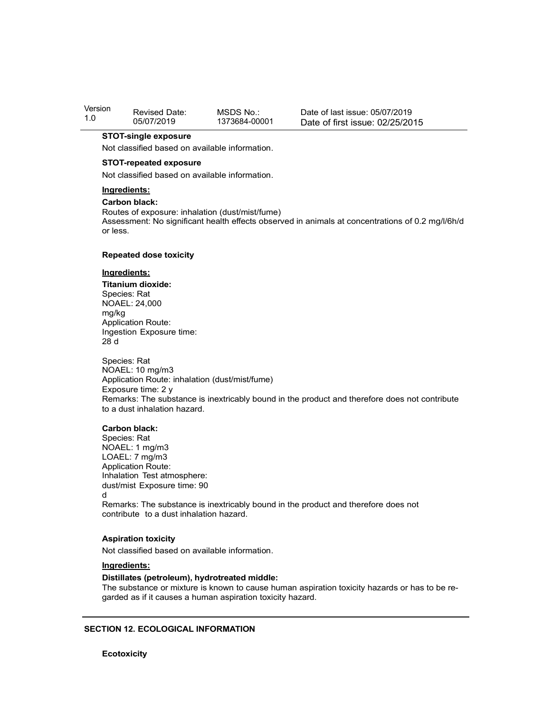| Version | <b>Revised Date:</b> | MSDS No.:     | Date of last issue: 05/07/2019  |
|---------|----------------------|---------------|---------------------------------|
| 1.0     | 05/07/2019           | 1373684-00001 | Date of first issue: 02/25/2015 |

#### STOT-single exposure

Not classified based on available information.

#### STOT-repeated exposure

Not classified based on available information.

#### Ingredients:

Carbon black:

Routes of exposure: inhalation (dust/mist/fume) Assessment: No significant health effects observed in animals at concentrations of 0.2 mg/l/6h/d or less.

#### Repeated dose toxicity

#### Ingredients:

Titanium dioxide: Species: Rat NOAEL: 24,000 mg/kg Application Route: Ingestion Exposure time: 28 d

Species: Rat NOAEL: 10 mg/m3 Application Route: inhalation (dust/mist/fume) Exposure time: 2 y Remarks: The substance is inextricably bound in the product and therefore does not contribute to a dust inhalation hazard.

#### Carbon black:

Species: Rat NOAEL: 1 mg/m3 LOAEL: 7 mg/m3 Application Route: Inhalation Test atmosphere: dust/mist Exposure time: 90 d<sub>d</sub> and the state of the state of the state of the state of the state of the state of the state of the state of the state of the state of the state of the state of the state of the state of the state of the state of the s Remarks: The substance is inextricably bound in the product and therefore does not contribute to a dust inhalation hazard.

#### Aspiration toxicity

Not classified based on available information.

#### Ingredients:

#### Distillates (petroleum), hydrotreated middle:

The substance or mixture is known to cause human aspiration toxicity hazards or has to be regarded as if it causes a human aspiration toxicity hazard.

#### SECTION 12. ECOLOGICAL INFORMATION

**Ecotoxicity**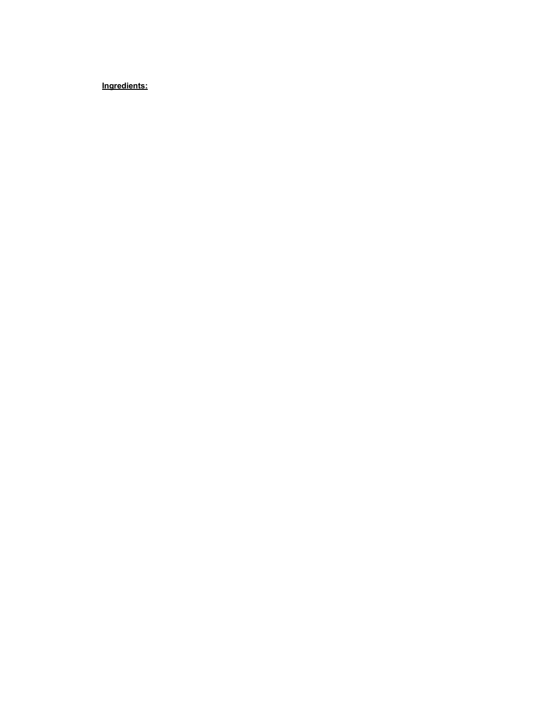Ingredients: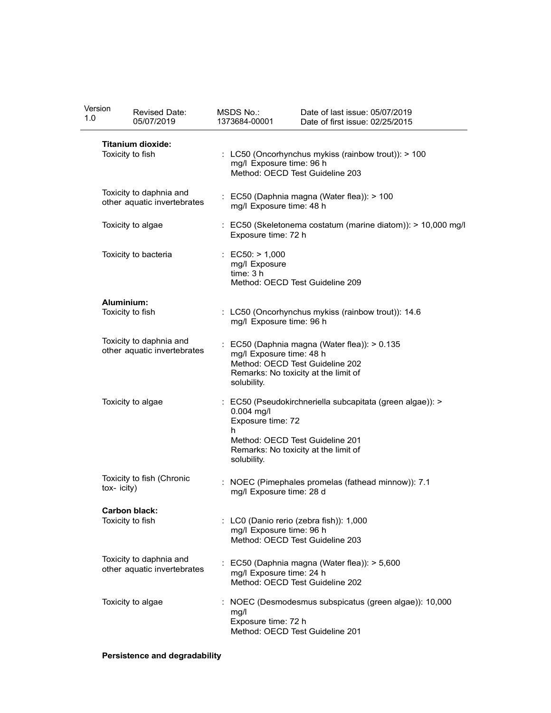| Version                     | Revised Date:                                          | MSDS No.:                                                                                                          | Date of last issue: 05/07/2019                         |  |  |
|-----------------------------|--------------------------------------------------------|--------------------------------------------------------------------------------------------------------------------|--------------------------------------------------------|--|--|
| 1.0                         | 05/07/2019                                             | 1373684-00001                                                                                                      | Date of first issue: 02/25/2015                        |  |  |
|                             | <b>Titanium dioxide:</b>                               |                                                                                                                    |                                                        |  |  |
|                             | Toxicity to fish                                       | : LC50 (Oncorhynchus mykiss (rainbow trout)): > 100<br>mg/l Exposure time: 96 h<br>Method: OECD Test Guideline 203 |                                                        |  |  |
|                             | Toxicity to daphnia and                                |                                                                                                                    |                                                        |  |  |
|                             | other aquatic invertebrates                            | mg/l Exposure time: 48 h                                                                                           | : EC50 (Daphnia magna (Water flea)): > 100             |  |  |
| Toxicity to algae           |                                                        | : EC50 (Skeletonema costatum (marine diatom)): > 10,000 mg/l<br>Exposure time: 72 h                                |                                                        |  |  |
|                             | Toxicity to bacteria                                   | : $EC50: > 1,000$<br>mg/l Exposure                                                                                 |                                                        |  |  |
|                             |                                                        | time: 3 h                                                                                                          | Method: OECD Test Guideline 209                        |  |  |
|                             | Aluminium:                                             |                                                                                                                    |                                                        |  |  |
|                             | Toxicity to fish                                       | mg/l Exposure time: 96 h                                                                                           | : LC50 (Oncorhynchus mykiss (rainbow trout)): 14.6     |  |  |
|                             | Toxicity to daphnia and                                |                                                                                                                    | : EC50 (Daphnia magna (Water flea)): > 0.135           |  |  |
| other aquatic invertebrates |                                                        | mg/l Exposure time: 48 h<br>Method: OECD Test Guideline 202                                                        |                                                        |  |  |
|                             |                                                        | solubility.                                                                                                        | Remarks: No toxicity at the limit of                   |  |  |
| Toxicity to algae           |                                                        | : EC50 (Pseudokirchneriella subcapitata (green algae)): >                                                          |                                                        |  |  |
|                             |                                                        | $0.004$ mg/l<br>Exposure time: 72                                                                                  |                                                        |  |  |
|                             |                                                        | h.                                                                                                                 | Method: OECD Test Guideline 201                        |  |  |
|                             |                                                        | solubility.                                                                                                        | Remarks: No toxicity at the limit of                   |  |  |
| tox-icity)                  | Toxicity to fish (Chronic                              |                                                                                                                    | : NOEC (Pimephales promelas (fathead minnow)): 7.1     |  |  |
|                             |                                                        | mg/l Exposure time: 28 d                                                                                           |                                                        |  |  |
|                             | <b>Carbon black:</b><br>Toxicity to fish               |                                                                                                                    | : LC0 (Danio rerio (zebra fish)): 1,000                |  |  |
|                             |                                                        | mg/l Exposure time: 96 h                                                                                           | Method: OECD Test Guideline 203                        |  |  |
|                             | Toxicity to daphnia and<br>other aquatic invertebrates |                                                                                                                    | : EC50 (Daphnia magna (Water flea)): > 5,600           |  |  |
|                             |                                                        | mg/l Exposure time: 24 h                                                                                           | Method: OECD Test Guideline 202                        |  |  |
|                             | Toxicity to algae                                      |                                                                                                                    | : NOEC (Desmodesmus subspicatus (green algae)): 10,000 |  |  |
|                             |                                                        | mg/l<br>Exposure time: 72 h                                                                                        | Method: OECD Test Guideline 201                        |  |  |

## Persistence and degradability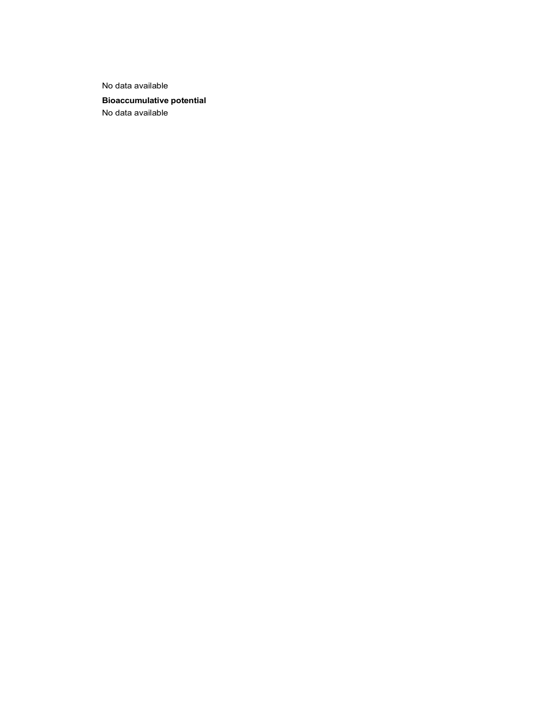No data available

Bioaccumulative potential No data available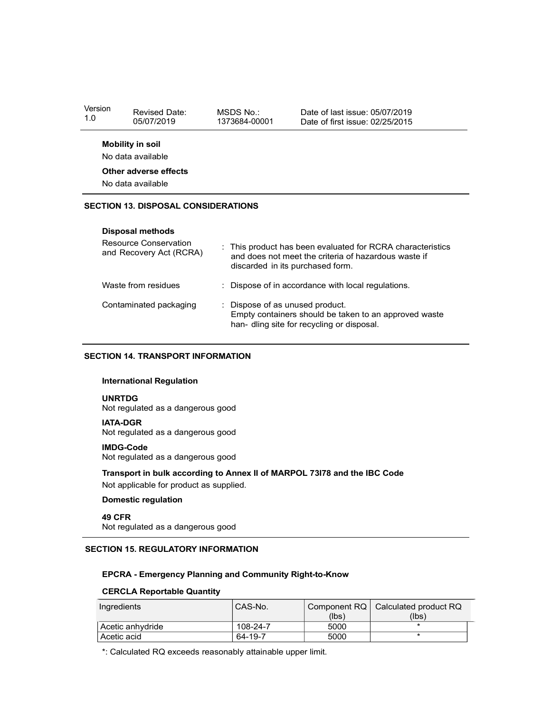| Mobility in soil  |  |
|-------------------|--|
| No data available |  |

#### Other adverse effects

#### SECTION 13. DISPOSAL CONSIDERATIONS

#### Disposal methods

| sion                                                                                                                                                                                                            | <b>Revised Date:</b><br>05/07/2019                                      | MSDS No.:<br>1373684-00001 | Date of last issue: 05/07/2019<br>Date of first issue: 02/25/2015 |  |  |
|-----------------------------------------------------------------------------------------------------------------------------------------------------------------------------------------------------------------|-------------------------------------------------------------------------|----------------------------|-------------------------------------------------------------------|--|--|
|                                                                                                                                                                                                                 | <b>Mobility in soil</b>                                                 |                            |                                                                   |  |  |
|                                                                                                                                                                                                                 | No data available                                                       |                            |                                                                   |  |  |
|                                                                                                                                                                                                                 | Other adverse effects                                                   |                            |                                                                   |  |  |
|                                                                                                                                                                                                                 | No data available                                                       |                            |                                                                   |  |  |
|                                                                                                                                                                                                                 | <b>CTION 13. DISPOSAL CONSIDERATIONS</b>                                |                            |                                                                   |  |  |
|                                                                                                                                                                                                                 | <b>Disposal methods</b>                                                 |                            |                                                                   |  |  |
| <b>Resource Conservation</b><br>This product has been evaluated for RCRA characteristics<br>and Recovery Act (RCRA)<br>and does not meet the criteria of hazardous waste if<br>discarded in its purchased form. |                                                                         |                            |                                                                   |  |  |
|                                                                                                                                                                                                                 | Waste from residues<br>Dispose of in accordance with local regulations. |                            |                                                                   |  |  |
| Contaminated packaging<br>Dispose of as unused product.<br>Empty containers should be taken to an approved waste<br>han- dling site for recycling or disposal.                                                  |                                                                         |                            |                                                                   |  |  |
|                                                                                                                                                                                                                 | CTION 14. TRANSPORT INFORMATION                                         |                            |                                                                   |  |  |

#### SECTION 14. TRANSPORT INFORMATION

#### International Regulation

#### UNRTDG

#### IATA-DGR

#### IMDG-Code

#### Transport in bulk according to Annex II of MARPOL 73I78 and the IBC Code

#### Domestic regulation

#### 49 CFR

### SECTION 15. REGULATORY INFORMATION

#### EPCRA - Emergency Planning and Community Right-to-Know

#### CERCLA Reportable Quantity

| <b>International Regulation</b>                                                                                     |          |                       |                                |
|---------------------------------------------------------------------------------------------------------------------|----------|-----------------------|--------------------------------|
| <b>UNRTDG</b><br>Not regulated as a dangerous good                                                                  |          |                       |                                |
| <b>IATA-DGR</b><br>Not regulated as a dangerous good                                                                |          |                       |                                |
| <b>IMDG-Code</b><br>Not regulated as a dangerous good                                                               |          |                       |                                |
| Transport in bulk according to Annex II of MARPOL 73178 and the IBC Code<br>Not applicable for product as supplied. |          |                       |                                |
| <b>Domestic regulation</b>                                                                                          |          |                       |                                |
| <b>49 CFR</b><br>Not regulated as a dangerous good                                                                  |          |                       |                                |
| <b>CTION 15. REGULATORY INFORMATION</b>                                                                             |          |                       |                                |
| <b>EPCRA - Emergency Planning and Community Right-to-Know</b>                                                       |          |                       |                                |
| <b>CERCLA Reportable Quantity</b>                                                                                   |          |                       |                                |
| Ingredients                                                                                                         | CAS-No.  | Component RQ<br>(lbs) | Calculated product RQ<br>(lbs) |
|                                                                                                                     |          | 5000                  | $\star$                        |
| Acetic anhydride                                                                                                    | 108-24-7 |                       |                                |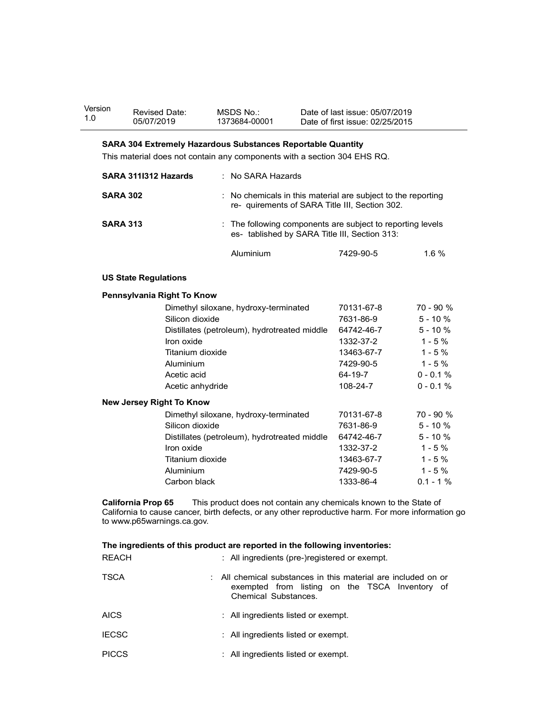| Version | <b>Revised Date:</b> | MSDS No       | Date of last issue: 05/07/2019  |
|---------|----------------------|---------------|---------------------------------|
| 1.0     | 05/07/2019           | 1373684-00001 | Date of first issue: 02/25/2015 |

#### SARA 304 Extremely Hazardous Substances Reportable Quantity

| ion             | <b>Revised Date:</b><br>05/07/2019 | MSDS No.:<br>1373684-00001                                                                                     | Date of last issue: 05/07/2019<br>Date of first issue: 02/25/2015 |            |
|-----------------|------------------------------------|----------------------------------------------------------------------------------------------------------------|-------------------------------------------------------------------|------------|
|                 |                                    | <b>SARA 304 Extremely Hazardous Substances Reportable Quantity</b>                                             |                                                                   |            |
|                 |                                    | This material does not contain any components with a section 304 EHS RQ.                                       |                                                                   |            |
|                 | SARA 3111312 Hazards               | : No SARA Hazards                                                                                              |                                                                   |            |
| <b>SARA 302</b> |                                    | : No chemicals in this material are subject to the reporting<br>re- quirements of SARA Title III, Section 302. |                                                                   |            |
| <b>SARA 313</b> |                                    | : The following components are subject to reporting levels<br>es- tablished by SARA Title III, Section 313:    |                                                                   |            |
|                 |                                    | Aluminium                                                                                                      | 7429-90-5                                                         | 1.6 %      |
|                 | <b>US State Regulations</b>        |                                                                                                                |                                                                   |            |
|                 | Pennsylvania Right To Know         |                                                                                                                |                                                                   |            |
|                 |                                    | Dimethyl siloxane, hydroxy-terminated                                                                          | 70131-67-8                                                        | 70 - 90 %  |
|                 | Silicon dioxide                    |                                                                                                                | 7631-86-9                                                         | $5 - 10%$  |
|                 |                                    | Distillates (petroleum), hydrotreated middle                                                                   | 64742-46-7                                                        | $5 - 10%$  |
|                 | Iron oxide                         |                                                                                                                | 1332-37-2                                                         | $1 - 5%$   |
|                 |                                    | Titanium dioxide                                                                                               | 13463-67-7                                                        | $1 - 5%$   |
|                 | Aluminium                          |                                                                                                                | 7429-90-5                                                         | $1 - 5 \%$ |

| Aluminium | 7429-90-5 | 1.6% |
|-----------|-----------|------|
|-----------|-----------|------|

#### US State Regulations

#### Pennsylvania Right To Know

| on           | <b>Revised Date:</b>                                    | MSDS No.:                                                                                                                                                               | Date of last issue: 05/07/2019                                                                                  |             |
|--------------|---------------------------------------------------------|-------------------------------------------------------------------------------------------------------------------------------------------------------------------------|-----------------------------------------------------------------------------------------------------------------|-------------|
|              | 05/07/2019                                              | 1373684-00001                                                                                                                                                           | Date of first issue: 02/25/2015                                                                                 |             |
|              |                                                         | SARA 304 Extremely Hazardous Substances Reportable Quantity                                                                                                             |                                                                                                                 |             |
|              |                                                         | This material does not contain any components with a section 304 EHS RQ.                                                                                                |                                                                                                                 |             |
|              | SARA 3111312 Hazards                                    | : No SARA Hazards                                                                                                                                                       |                                                                                                                 |             |
|              | <b>SARA 302</b>                                         |                                                                                                                                                                         | : No chemicals in this material are subject to the reporting<br>re- quirements of SARA Title III, Section 302.  |             |
|              | <b>SARA 313</b>                                         |                                                                                                                                                                         | : The following components are subject to reporting levels<br>es- tablished by SARA Title III, Section 313:     |             |
|              |                                                         | Aluminium                                                                                                                                                               | 7429-90-5                                                                                                       | 1.6 %       |
|              | <b>US State Regulations</b>                             |                                                                                                                                                                         |                                                                                                                 |             |
|              | Pennsylvania Right To Know                              |                                                                                                                                                                         |                                                                                                                 |             |
|              |                                                         | Dimethyl siloxane, hydroxy-terminated                                                                                                                                   | 70131-67-8                                                                                                      | 70 - 90 %   |
|              | Silicon dioxide                                         |                                                                                                                                                                         | 7631-86-9                                                                                                       | $5 - 10%$   |
|              |                                                         | Distillates (petroleum), hydrotreated middle                                                                                                                            | 64742-46-7                                                                                                      | $5 - 10%$   |
|              | Iron oxide                                              |                                                                                                                                                                         | 1332-37-2                                                                                                       | $1 - 5%$    |
|              | Titanium dioxide                                        |                                                                                                                                                                         | 13463-67-7                                                                                                      | $1 - 5%$    |
|              | Aluminium                                               |                                                                                                                                                                         | 7429-90-5                                                                                                       | $1 - 5%$    |
|              | Acetic acid                                             |                                                                                                                                                                         | 64-19-7                                                                                                         | $0 - 0.1 %$ |
|              | Acetic anhydride                                        |                                                                                                                                                                         | 108-24-7                                                                                                        | $0 - 0.1 %$ |
|              | <b>New Jersey Right To Know</b>                         |                                                                                                                                                                         |                                                                                                                 |             |
|              |                                                         | Dimethyl siloxane, hydroxy-terminated                                                                                                                                   | 70131-67-8                                                                                                      | 70 - 90 %   |
|              | Silicon dioxide                                         |                                                                                                                                                                         | 7631-86-9                                                                                                       | $5 - 10%$   |
|              |                                                         | Distillates (petroleum), hydrotreated middle                                                                                                                            | 64742-46-7                                                                                                      | $5 - 10%$   |
|              | Iron oxide                                              |                                                                                                                                                                         | 1332-37-2                                                                                                       | $1 - 5%$    |
|              | Titanium dioxide                                        |                                                                                                                                                                         | 13463-67-7                                                                                                      | $1 - 5%$    |
|              | Aluminium                                               |                                                                                                                                                                         | 7429-90-5                                                                                                       | $1 - 5%$    |
|              | Carbon black                                            |                                                                                                                                                                         | 1333-86-4                                                                                                       | $0.1 - 1%$  |
|              | <b>California Prop 65</b><br>to www.p65warnings.ca.gov. | This product does not contain any chemicals known to the State of<br>California to cause cancer, birth defects, or any other reproductive harm. For more information go |                                                                                                                 |             |
|              |                                                         |                                                                                                                                                                         |                                                                                                                 |             |
| <b>REACH</b> |                                                         | The ingredients of this product are reported in the following inventories:<br>: All ingredients (pre-)registered or exempt.                                             |                                                                                                                 |             |
| TSCA         |                                                         | Chemical Substances.                                                                                                                                                    | : All chemical substances in this material are included on or<br>exempted from listing on the TSCA Inventory of |             |
| AICS         |                                                         | : All ingredients listed or exempt.                                                                                                                                     |                                                                                                                 |             |
| <b>IECSC</b> |                                                         | : All ingredients listed or exempt.                                                                                                                                     |                                                                                                                 |             |
| <b>PICCS</b> |                                                         | : All ingredients listed or exempt.                                                                                                                                     |                                                                                                                 |             |
|              |                                                         |                                                                                                                                                                         |                                                                                                                 |             |

#### The ingredients of this product are reported in the following inventories:

| New Jersey Right To Know                                |                  |                                                                                                                                                                         |            |            |  |
|---------------------------------------------------------|------------------|-------------------------------------------------------------------------------------------------------------------------------------------------------------------------|------------|------------|--|
|                                                         |                  | Dimethyl siloxane, hydroxy-terminated                                                                                                                                   | 70131-67-8 | 70 - 90 %  |  |
|                                                         | Silicon dioxide  |                                                                                                                                                                         | 7631-86-9  | $5 - 10%$  |  |
|                                                         |                  | Distillates (petroleum), hydrotreated middle                                                                                                                            | 64742-46-7 | $5 - 10%$  |  |
|                                                         | Iron oxide       |                                                                                                                                                                         | 1332-37-2  | $1 - 5%$   |  |
|                                                         | Titanium dioxide |                                                                                                                                                                         | 13463-67-7 | $1 - 5%$   |  |
|                                                         | Aluminium        |                                                                                                                                                                         | 7429-90-5  | $1 - 5%$   |  |
|                                                         | Carbon black     |                                                                                                                                                                         | 1333-86-4  | $0.1 - 1%$ |  |
| <b>California Prop 65</b><br>to www.p65warnings.ca.gov. |                  | This product does not contain any chemicals known to the State of<br>California to cause cancer, birth defects, or any other reproductive harm. For more information go |            |            |  |
|                                                         |                  | The ingredients of this product are reported in the following inventories:                                                                                              |            |            |  |
| <b>REACH</b>                                            |                  | : All ingredients (pre-)registered or exempt.                                                                                                                           |            |            |  |
| <b>TSCA</b>                                             |                  | All chemical substances in this material are included on or<br>exempted from listing on the TSCA Inventory of<br>Chemical Substances.                                   |            |            |  |
| <b>AICS</b>                                             |                  | All ingredients listed or exempt.                                                                                                                                       |            |            |  |
| <b>IECSC</b>                                            |                  | : All ingredients listed or exempt.                                                                                                                                     |            |            |  |
| <b>PICCS</b>                                            |                  | : All ingredients listed or exempt.                                                                                                                                     |            |            |  |
|                                                         |                  |                                                                                                                                                                         |            |            |  |
|                                                         |                  |                                                                                                                                                                         |            |            |  |
|                                                         |                  |                                                                                                                                                                         |            |            |  |
|                                                         |                  |                                                                                                                                                                         |            |            |  |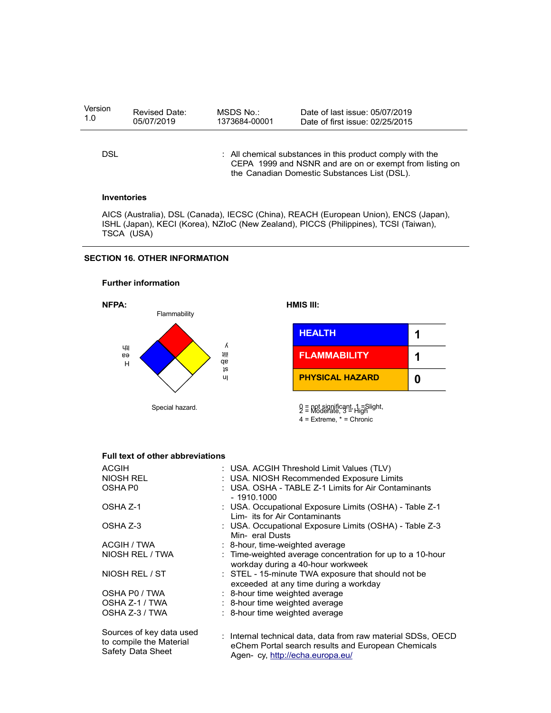| Version<br>1.0     | Revised Date:<br>05/07/2019          | MSDS No.:<br>1373684-00001 | Date of last issue: 05/07/2019<br>Date of first issue: 02/25/2015                                                                                                            |   |  |
|--------------------|--------------------------------------|----------------------------|------------------------------------------------------------------------------------------------------------------------------------------------------------------------------|---|--|
| <b>DSL</b>         |                                      |                            | : All chemical substances in this product comply with the<br>CEPA 1999 and NSNR and are on or exempt from listing on<br>the Canadian Domestic Substances List (DSL).         |   |  |
| <b>Inventories</b> |                                      |                            |                                                                                                                                                                              |   |  |
| TSCA (USA)         |                                      |                            | AICS (Australia), DSL (Canada), IECSC (China), REACH (European Union), ENCS (Japan),<br>ISHL (Japan), KECI (Korea), NZIoC (New Zealand), PICCS (Philippines), TCSI (Taiwan), |   |  |
|                    | <b>SECTION 16. OTHER INFORMATION</b> |                            |                                                                                                                                                                              |   |  |
|                    | <b>Further information</b>           |                            |                                                                                                                                                                              |   |  |
| NFPA:              | Flammability                         |                            | HMIS III:                                                                                                                                                                    |   |  |
|                    |                                      |                            | <b>HEALTH</b>                                                                                                                                                                | 1 |  |
| ЧIJ<br>eə          |                                      | λ<br>训<br><b>ap</b>        | <b>FLAMMABILITY</b>                                                                                                                                                          | 1 |  |

## SECTION 16. OTHER INFORMATION



|                  | <b>HEALTH</b>          |   |  |
|------------------|------------------------|---|--|
| Λ<br>ijij.<br>gp | <b>FLAMMABILITY</b>    |   |  |
| ļS<br>u          | <b>PHYSICAL HAZARD</b> | 0 |  |

#### Full text of other abbreviations

| TION 16. OTHER INFORMATION                                               |                 |                                                                                                                                                        |                                                                                                                                 |   |
|--------------------------------------------------------------------------|-----------------|--------------------------------------------------------------------------------------------------------------------------------------------------------|---------------------------------------------------------------------------------------------------------------------------------|---|
| <b>Further information</b>                                               |                 |                                                                                                                                                        |                                                                                                                                 |   |
| NFPA:<br>Flammability                                                    |                 | HMIS III:                                                                                                                                              |                                                                                                                                 |   |
|                                                                          |                 |                                                                                                                                                        | <b>HEALTH</b>                                                                                                                   | 1 |
| ЧìІ<br>eə<br>Н                                                           |                 | Λ<br>1III<br>gp                                                                                                                                        | <b>FLAMMABILITY</b>                                                                                                             | 1 |
|                                                                          |                 | ļS<br>u                                                                                                                                                | <b>PHYSICAL HAZARD</b>                                                                                                          | 0 |
|                                                                          | Special hazard. |                                                                                                                                                        | 0 = not significant, 1 =Slight,<br>2 = Moderate, 3 = High<br>$4$ = Extreme, $*$ = Chronic                                       |   |
| Full text of other abbreviations                                         |                 |                                                                                                                                                        |                                                                                                                                 |   |
| <b>ACGIH</b><br><b>NIOSH REL</b><br>OSHA P0                              |                 | USA. ACGIH Threshold Limit Values (TLV)<br>USA. NIOSH Recommended Exposure Limits<br>USA. OSHA - TABLE Z-1 Limits for Air Contaminants<br>$-1910.1000$ |                                                                                                                                 |   |
| OSHA Z-1                                                                 |                 | : USA. Occupational Exposure Limits (OSHA) - Table Z-1<br>Lim- its for Air Contaminants                                                                |                                                                                                                                 |   |
| OSHA Z-3                                                                 |                 | Min-eral Dusts                                                                                                                                         | : USA. Occupational Exposure Limits (OSHA) - Table Z-3                                                                          |   |
| <b>ACGIH / TWA</b><br>NIOSH REL / TWA                                    |                 |                                                                                                                                                        | 8-hour, time-weighted average<br>: Time-weighted average concentration for up to a 10-hour<br>workday during a 40-hour workweek |   |
| NIOSH REL / ST                                                           |                 |                                                                                                                                                        | : STEL - 15-minute TWA exposure that should not be<br>exceeded at any time during a workday                                     |   |
| OSHA P0 / TWA<br>OSHA Z-1 / TWA<br>OSHA Z-3 / TWA                        |                 | 8-hour time weighted average<br>: 8-hour time weighted average<br>: 8-hour time weighted average                                                       |                                                                                                                                 |   |
| Sources of key data used<br>to compile the Material<br>Safety Data Sheet |                 | : Internal technical data, data from raw material SDSs, OECD<br>eChem Portal search results and European Chemicals<br>Agen-cy, http://echa.europa.eu/  |                                                                                                                                 |   |

 $4 =$  Extreme,  $* =$  Chronic